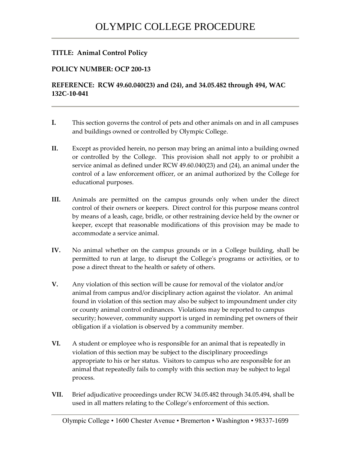## **TITLE: Animal Control Policy**

## **POLICY NUMBER: OCP 200-13**

## **REFERENCE: RCW 49.60.040(23) and (24), and 34.05.482 through 494, WAC 132C-10-041**

- **I.** This section governs the control of pets and other animals on and in all campuses and buildings owned or controlled by Olympic College.
- **II.** Except as provided herein, no person may bring an animal into a building owned or controlled by the College. This provision shall not apply to or prohibit a service animal as defined under RCW 49.60.040(23) and (24), an animal under the control of a law enforcement officer, or an animal authorized by the College for educational purposes.
- **III.** Animals are permitted on the campus grounds only when under the direct control of their owners or keepers. Direct control for this purpose means control by means of a leash, cage, bridle, or other restraining device held by the owner or keeper, except that reasonable modifications of this provision may be made to accommodate a service animal.
- **IV.** No animal whether on the campus grounds or in a College building, shall be permitted to run at large, to disrupt the College's programs or activities, or to pose a direct threat to the health or safety of others.
- **V.** Any violation of this section will be cause for removal of the violator and/or animal from campus and/or disciplinary action against the violator. An animal found in violation of this section may also be subject to impoundment under city or county animal control ordinances. Violations may be reported to campus security; however, community support is urged in reminding pet owners of their obligation if a violation is observed by a community member.
- **VI.** A student or employee who is responsible for an animal that is repeatedly in violation of this section may be subject to the disciplinary proceedings appropriate to his or her status. Visitors to campus who are responsible for an animal that repeatedly fails to comply with this section may be subject to legal process.
- **VII.** Brief adjudicative proceedings under RCW 34.05.482 through 34.05.494, shall be used in all matters relating to the College's enforcement of this section.